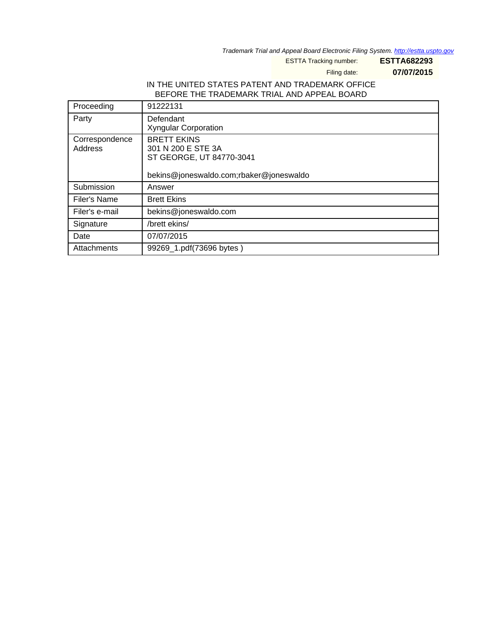Trademark Trial and Appeal Board Electronic Filing System. <http://estta.uspto.gov>

ESTTA Tracking number: **ESTTA682293**

Filing date: **07/07/2015**

# IN THE UNITED STATES PATENT AND TRADEMARK OFFICE BEFORE THE TRADEMARK TRIAL AND APPEAL BOARD

| Proceeding                | 91222131                                                                                                        |
|---------------------------|-----------------------------------------------------------------------------------------------------------------|
| Party                     | Defendant<br><b>Xyngular Corporation</b>                                                                        |
| Correspondence<br>Address | <b>BRETT EKINS</b><br>301 N 200 E STE 3A<br>ST GEORGE, UT 84770-3041<br>bekins@joneswaldo.com;rbaker@joneswaldo |
| Submission                | Answer                                                                                                          |
| Filer's Name              | <b>Brett Ekins</b>                                                                                              |
| Filer's e-mail            | bekins@joneswaldo.com                                                                                           |
| Signature                 | /brett ekins/                                                                                                   |
| Date                      | 07/07/2015                                                                                                      |
| Attachments               | 99269_1.pdf(73696 bytes)                                                                                        |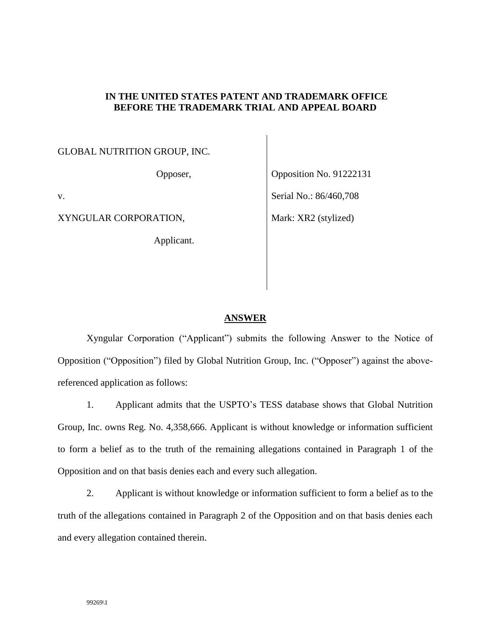### **IN THE UNITED STATES PATENT AND TRADEMARK OFFICE BEFORE THE TRADEMARK TRIAL AND APPEAL BOARD**

## GLOBAL NUTRITION GROUP, INC.

Opposer,

v.

XYNGULAR CORPORATION,

Applicant.

Opposition No. 91222131 Serial No.: 86/460,708 Mark: XR2 (stylized)

#### **ANSWER**

Xyngular Corporation ("Applicant") submits the following Answer to the Notice of Opposition ("Opposition") filed by Global Nutrition Group, Inc. ("Opposer") against the abovereferenced application as follows:

1. Applicant admits that the USPTO's TESS database shows that Global Nutrition Group, Inc. owns Reg. No. 4,358,666. Applicant is without knowledge or information sufficient to form a belief as to the truth of the remaining allegations contained in Paragraph 1 of the Opposition and on that basis denies each and every such allegation.

2. Applicant is without knowledge or information sufficient to form a belief as to the truth of the allegations contained in Paragraph 2 of the Opposition and on that basis denies each and every allegation contained therein.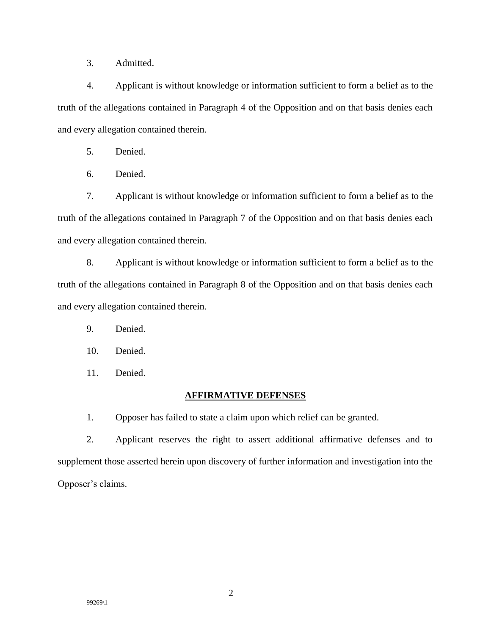3. Admitted.

4. Applicant is without knowledge or information sufficient to form a belief as to the truth of the allegations contained in Paragraph 4 of the Opposition and on that basis denies each and every allegation contained therein.

5. Denied.

6. Denied.

7. Applicant is without knowledge or information sufficient to form a belief as to the truth of the allegations contained in Paragraph 7 of the Opposition and on that basis denies each and every allegation contained therein.

8. Applicant is without knowledge or information sufficient to form a belief as to the truth of the allegations contained in Paragraph 8 of the Opposition and on that basis denies each and every allegation contained therein.

9. Denied.

10. Denied.

11. Denied.

### **AFFIRMATIVE DEFENSES**

1. Opposer has failed to state a claim upon which relief can be granted.

2. Applicant reserves the right to assert additional affirmative defenses and to supplement those asserted herein upon discovery of further information and investigation into the Opposer's claims.